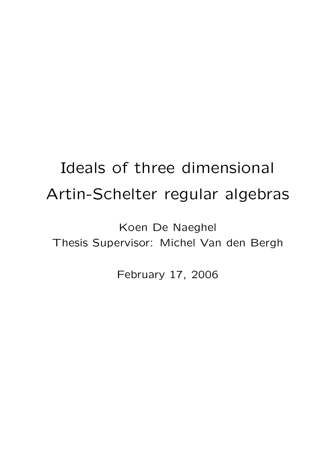# Ideals of three dimensional Artin-Schelter regular algebras

Koen De Naeghel Thesis Supervisor: Michel Van den Bergh

February 17, 2006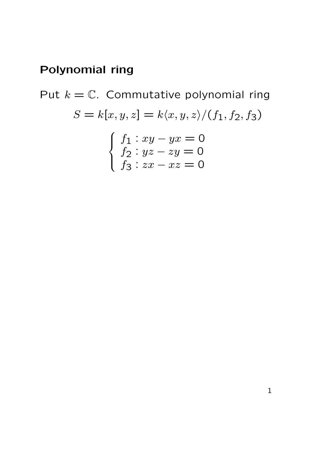Put  $k = \mathbb{C}$ . Commutative polynomial ring  $S = k[x, y, z] = k\langle x, y, z\rangle/(f_1, f_2, f_3)$  $\int$  $\int$  $\overline{\mathcal{L}}$  $f_1: xy - yx = 0$  $f_2: yz - zy = 0$  $f_3: zx - xz = 0$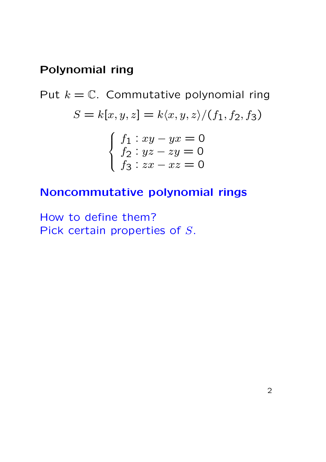Put  $k = \mathbb{C}$ . Commutative polynomial ring  $S = k[x, y, z] = k\langle x, y, z \rangle / (f_1, f_2, f_3)$  $\int$  $\int$  $\overline{\mathcal{L}}$  $f_1: xy - yx = 0$  $f_2: yz - zy = 0$  $f_3: zx - xz = 0$ 

#### Noncommutative polynomial rings

How to define them? Pick certain properties of S.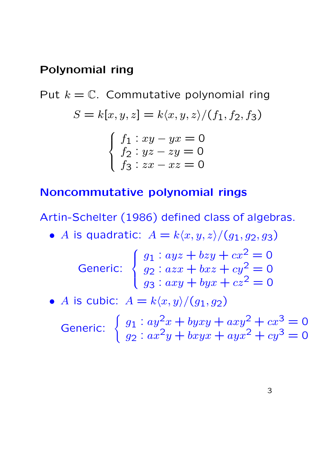Put  $k = \mathbb{C}$ . Commutative polynomial ring  $S = k[x, y, z] = k\langle x, y, z \rangle / (f_1, f_2, f_3)$  $\int$  $\int$  $\overline{\mathcal{L}}$  $f_1: xy - yx = 0$  $f_2: yz - zy = 0$  $f_3: zx - xz = 0$ 

#### Noncommutative polynomial rings

Artin-Schelter (1986) defined class of algebras.

• A is quadratic:  $A = k\langle x, y, z\rangle/(g_1, g_2, g_3)$ Generic:  $\sqrt{ }$  $\int$  $\overline{\mathcal{L}}$  $g_1: ayz + bzy + cx^2 = 0$  $g_2: a z x + b x z + c y^2 = 0$  $g_3: axy + byx + cz^2 = 0$ 

• A is cubic:  $A = k\langle x, y \rangle/(g_1, g_2)$ 

Generic:  $\begin{cases} g_1 : ay^2x + byxy + axy^2 + cx^3 = 0 \\ 0, & \text{otherwise} \end{cases}$  $g_2: ax^2y + bxyx + ayx^2 + cy^3 = 0$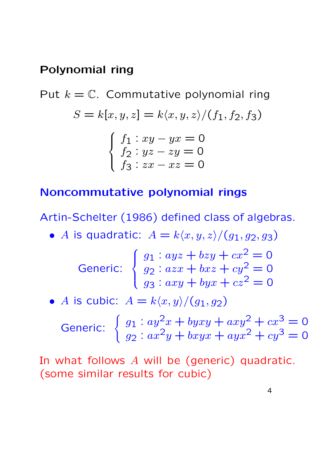Put  $k = \mathbb{C}$ . Commutative polynomial ring  $S = k[x, y, z] = k\langle x, y, z \rangle / (f_1, f_2, f_3)$  $\int$  $\int$  $\overline{\mathcal{L}}$  $f_1: xy - yx = 0$  $f_2: yz - zy = 0$  $f_3: zx - xz = 0$ 

### Noncommutative polynomial rings

Artin-Schelter (1986) defined class of algebras.

• A is quadratic:  $A = k\langle x, y, z\rangle/(g_1, g_2, g_3)$ 

$$
\text{Generic:} \begin{cases} g_1: ayz + bzy + cx^2 = 0 \\ g_2: azx + bxz + cy^2 = 0 \\ g_3: axy + byx + cz^2 = 0 \end{cases}
$$

• A is cubic:  $A = k\langle x, y \rangle/(g_1, g_2)$ 

Generic:  $\begin{cases} g_1 : ay^2x + byxy + axy^2 + cx^3 = 0 \\ 0, & \text{otherwise} \end{cases}$  $g_2: ax^2y + bxyx + ayx^2 + cy^3 = 0$ 

In what follows A will be (generic) quadratic. (some similar results for cubic)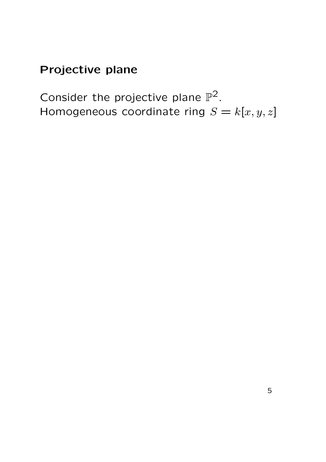Consider the projective plane  $\mathbb{P}^2$ . Homogeneous coordinate ring  $S = k[x, y, z]$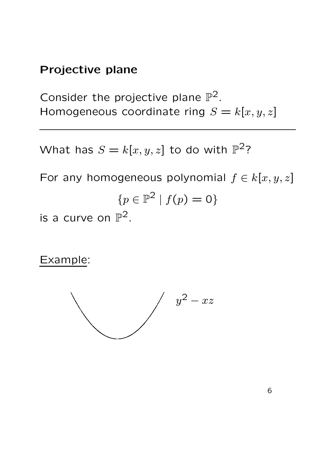Consider the projective plane  $\mathbb{P}^2$ . Homogeneous coordinate ring  $S = k[x, y, z]$ 

What has  $S=k[x,y,z]$  to do with  $\mathbb{P}^2$ ?

For any homogeneous polynomial  $f \in k[x, y, z]$  ${p \in \mathbb{P}^2 \mid f(p) = 0}$ is a curve on  $\mathbb{P}^2$ .

Example:



6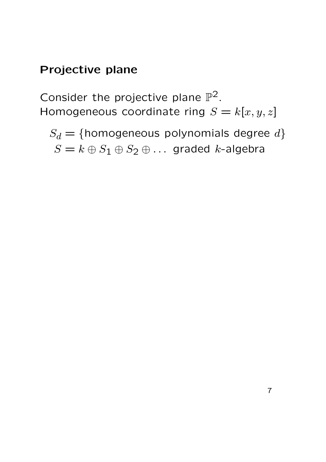Consider the projective plane  $\mathbb{P}^2$ . Homogeneous coordinate ring  $S = k[x, y, z]$ 

 $S_d = \{$ homogeneous polynomials degree  $d\}$  $S = k \oplus S_1 \oplus S_2 \oplus \ldots$  graded k-algebra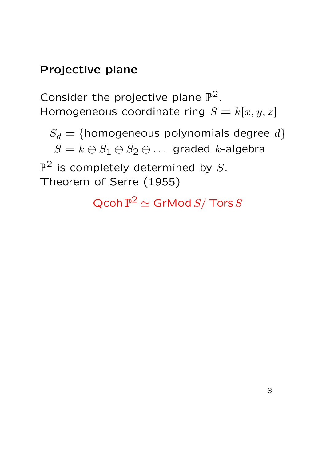Consider the projective plane  $\mathbb{P}^2$ . Homogeneous coordinate ring  $S = k[x, y, z]$ 

 $S_d = \{$ homogeneous polynomials degree  $d\}$  $S = k \oplus S_1 \oplus S_2 \oplus \ldots$  graded k-algebra  $\mathbb{P}^2$  is completely determined by  $S.$ Theorem of Serre (1955)

 $\operatorname{\mathsf{Qcoh}}\nolimits \mathbb P^2 \simeq \operatorname{\mathsf{GrMod}}\nolimits S / \operatorname{\mathsf{Tors}}\nolimits S$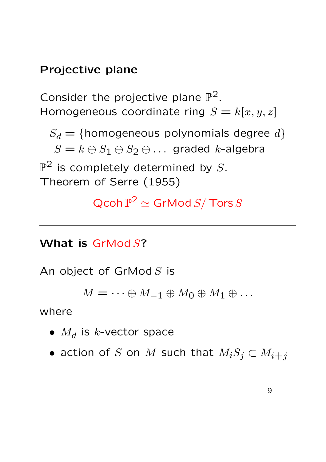Consider the projective plane  $\mathbb{P}^2$ . Homogeneous coordinate ring  $S = k[x, y, z]$ 

 $S_d = \{$ homogeneous polynomials degree  $d\}$  $S = k \oplus S_1 \oplus S_2 \oplus \ldots$  graded k-algebra  $\mathbb{P}^2$  is completely determined by  $S.$ Theorem of Serre (1955)

 $\operatorname{\mathsf{Qcoh}}\nolimits\mathbb{P}^2 \simeq \operatorname{\mathsf{GrMod}}\nolimits S/\operatorname{\mathsf{Tors}}\nolimits S$ 

### What is GrMod S?

An object of  $GrMod S$  is

 $M = \cdots \oplus M_{-1} \oplus M_0 \oplus M_1 \oplus \ldots$ 

where

- $\bullet$   $M_d$  is  $k$ -vector space
- action of S on M such that  $M_iS_j \subset M_{i+j}$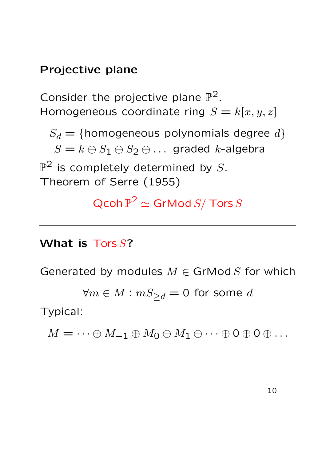Consider the projective plane  $\mathbb{P}^2$ . Homogeneous coordinate ring  $S = k[x, y, z]$ 

 $S_d = \{$ homogeneous polynomials degree  $d\}$  $S = k \oplus S_1 \oplus S_2 \oplus \ldots$  graded k-algebra  $\mathbb{P}^2$  is completely determined by  $S.$ Theorem of Serre (1955)

 $\operatorname{\mathsf{Qcoh}}\nolimits\mathbb{P}^2 \simeq \operatorname{\mathsf{GrMod}}\nolimits S/\operatorname{\mathsf{Tors}}\nolimits S$ 

### What is Tors S?

Generated by modules  $M \in GrMod S$  for which

 $\forall m \in M : mS_{\geq d} = 0$  for some d

Typical:

 $M = \cdots \oplus M_{-1} \oplus M_0 \oplus M_1 \oplus \cdots \oplus 0 \oplus 0 \oplus \ldots$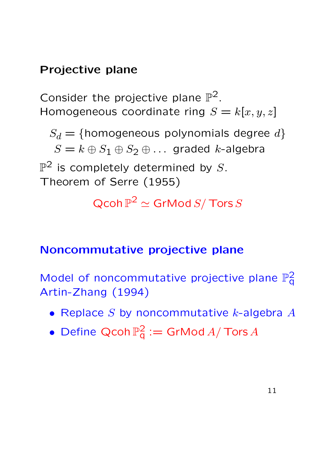Consider the projective plane  $\mathbb{P}^2$ . Homogeneous coordinate ring  $S = k[x, y, z]$ 

 $S_d = \{$ homogeneous polynomials degree  $d\}$  $S = k \oplus S_1 \oplus S_2 \oplus \ldots$  graded k-algebra  $\mathbb{P}^2$  is completely determined by  $S.$ Theorem of Serre (1955)

 $\operatorname{\mathsf{Qcoh}}\nolimits\mathbb{P}^2 \simeq \operatorname{\mathsf{GrMod}}\nolimits S/\operatorname{\mathsf{Tors}}\nolimits S$ 

## Noncommutative projective plane

Model of noncommutative projective plane  $\mathbb{P}^2_{q}$  $\mathsf{\bar{q}}$ Artin-Zhang (1994)

- Replace  $S$  by noncommutative  $k$ -algebra  $A$
- Define Qcoh  $\mathbb{P}_{q}^{2} := Gr\mathsf{Mod}\,A/\mathsf{Tors}\,A$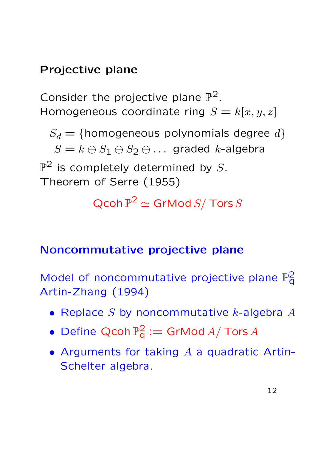Consider the projective plane  $\mathbb{P}^2$ . Homogeneous coordinate ring  $S = k[x, y, z]$ 

 $S_d = \{$ homogeneous polynomials degree  $d\}$  $S = k \oplus S_1 \oplus S_2 \oplus \ldots$  graded k-algebra  $\mathbb{P}^2$  is completely determined by  $S.$ Theorem of Serre (1955)

 $\operatorname{\mathsf{Qcoh}}\nolimits\mathbb{P}^2 \simeq \operatorname{\mathsf{GrMod}}\nolimits S/\operatorname{\mathsf{Tors}}\nolimits S$ 

## Noncommutative projective plane

Model of noncommutative projective plane  $\mathbb{P}^2_{q}$  $\bar{\mathsf{q}}$ Artin-Zhang (1994)

- Replace  $S$  by noncommutative  $k$ -algebra  $A$
- Define Qcoh  $\mathbb{P}_{q}^{2}:=\mathsf{GrMod}\,A/\mathsf{Tors}\,A$
- Arguments for taking  $A$  a quadratic Artin-Schelter algebra.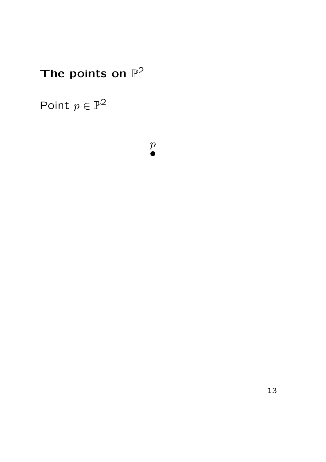Point  $p \in \mathbb{P}^2$ 

 $\overline{p}$ ①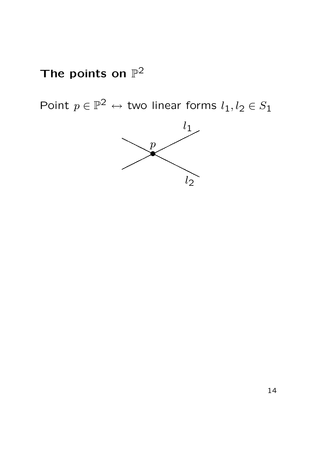Point  $p \in \mathbb{P}^2 \leftrightarrow$  two linear forms  $l_1, l_2 \in S_1$ 

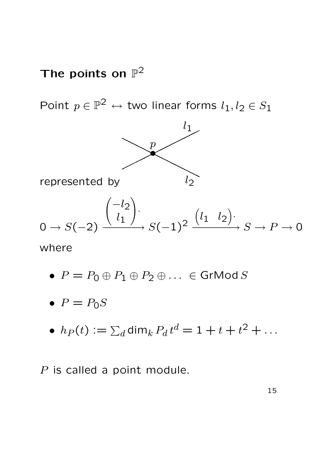Point  $p \in \mathbb{P}^2 \leftrightarrow$  two linear forms  $l_1, l_2 \in S_1$ 



•  $P = P_0 \oplus P_1 \oplus P_2 \oplus \ldots \in$  GrMod S

$$
\bullet \ \ P = P_0 S
$$

 $\bullet\; h_P(t):=\sum_d{\mathop{\rm dim}}_k\,P_d\,t^d=1+t+t^2+\dots$ 

P is called a point module.

15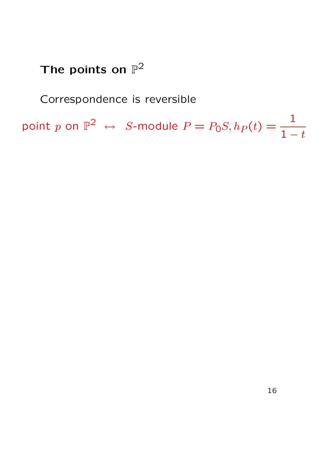### Correspondence is reversible

point  $p$  on  $\mathbb{P}^2$   $\;\leftrightarrow\;$   $S\text{-module } P = P_0 S, h_P(t) = \frac{1}{1-\varepsilon}$  $1 - t$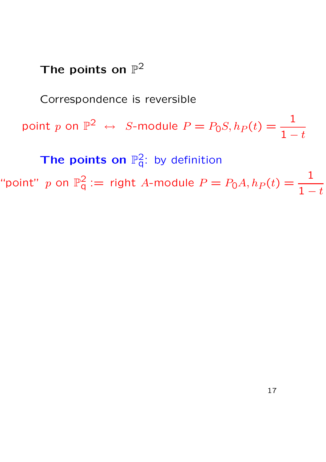Correspondence is reversible

point  $p$  on  $\mathbb{P}^2$   $\;\leftrightarrow\;$   $S\text{-module } P = P_0 S, h_P(t) = \frac{1}{1-\varepsilon}$  $1-t$ 

The points on  $\mathbb{P}^2_q$ : by definition

"point"  $p$  on  $\mathbb{P}^2_q$  $q^2 := \text{ right } A\text{-module } P = P_0 A, h_P (t) = \frac{1}{1-t}$  $1 - t$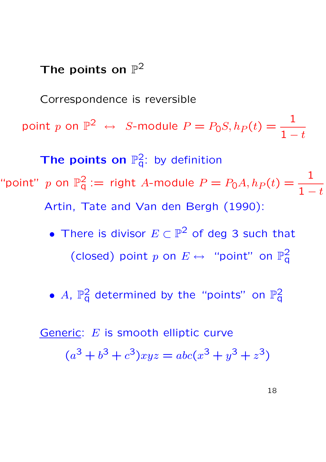Correspondence is reversible point  $p$  on  $\mathbb{P}^2$   $\;\leftrightarrow\;$   $S\text{-module } P = P_0 S, h_P(t) = \frac{1}{1-\varepsilon}$  $1-t$ The points on  $\mathbb{P}^2_q$ : by definition "point"  $p$  on  $\mathbb{P}^2_q$  $q^2 := \text{ right } A\text{-module } P = P_0 A, h_P (t) = \frac{1}{1-t}$  $1 - t$ Artin, Tate and Van den Bergh (1990):

- There is divisor  $E\subset \mathbb{P}^2$  of deg 3 such that (closed) point  $p$  on  $E \leftrightarrow$  "point" on  $\mathbb{P}^2_q$ q
- $A$ ,  $\mathbb{P}^2_q$  determined by the "points" on  $\mathbb{P}^2_q$  $\bar{\mathsf{q}}$

Generic: E is smooth elliptic curve  $(a^{3} + b^{3} + c^{3})xyz = abc(x^{3} + y^{3} + z^{3})$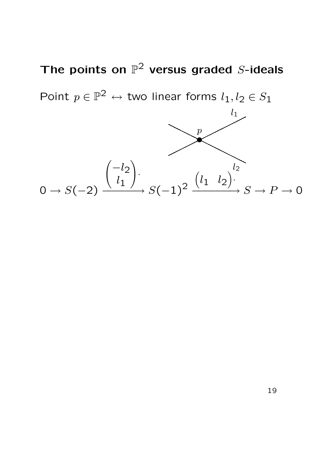The points on  $\mathbb{P}^2$  versus graded S-ideals Point  $p \in \mathbb{P}^2 \leftrightarrow$  two linear forms  $l_1, l_2 \in S_1$ p ①  $l_1$  $l_2$  $0 \rightarrow S(-2)$  $\begin{pmatrix} -l_2 \end{pmatrix}$  $l_{\mathbf{1}}$  $\setminus$ ·  $\xrightarrow{(0,1)'} S(-1)^2$  $(l_1 \quad l_2)$ .  $\longrightarrow S \longrightarrow P \longrightarrow 0$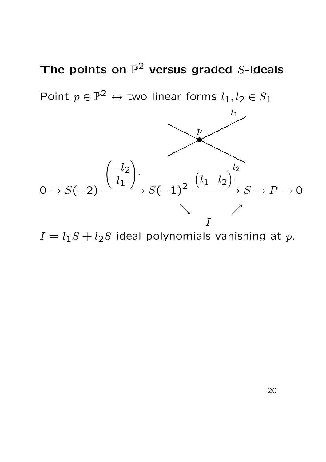The points on  $\mathbb{P}^2$  versus graded S-ideals Point  $p \in \mathbb{P}^2 \leftrightarrow$  two linear forms  $l_1, l_2 \in S_1$  $\overline{p}$ ①  $l<sub>1</sub>$  $l_2$  $0 \rightarrow S(-2)$  $\begin{pmatrix} -l_2 \end{pmatrix}$  $l_{\mathbf{1}}$  $\setminus$ ·  $\xrightarrow{(0,1)'} S(-1)^2$  $(l_1 \quad l_2)$ .  $\longrightarrow S \longrightarrow P \longrightarrow 0$  $\searrow$ I

 $I = l_1S + l_2S$  ideal polynomials vanishing at p.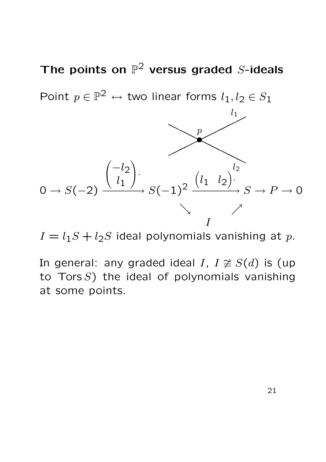The points on  $\mathbb{P}^2$  versus graded S-ideals Point  $p \in \mathbb{P}^2 \leftrightarrow$  two linear forms  $l_1, l_2 \in S_1$  $\overline{p}$ ①  $l_1$  $l_2$  $0 \rightarrow S(-2)$  $\begin{pmatrix} -l_2 \end{pmatrix}$  $l_{1}$  $\setminus$ ·  $\xrightarrow{(0,1)'} S(-1)^2$  $(l_1 \quad l_2)$ .  $\longrightarrow S \longrightarrow P \longrightarrow 0$  $\searrow$ I

 $I = l_1S + l_2S$  ideal polynomials vanishing at p.

In general: any graded ideal I,  $I \not\cong S(d)$  is (up to Tors  $S$ ) the ideal of polynomials vanishing at some points.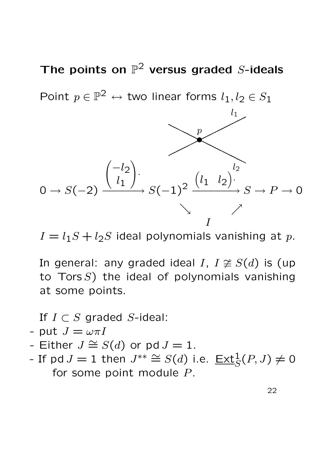The points on  $\mathbb{P}^2$  versus graded S-ideals Point  $p \in \mathbb{P}^2 \leftrightarrow$  two linear forms  $l_1, l_2 \in S_1$  $\boldsymbol{p}$ ①  $l_1$  $l_2$  $0 \rightarrow S(-2)$  $\begin{pmatrix} -l_2 \end{pmatrix}$  $l_{1}$  $\setminus$ ·  $\xrightarrow{(0,1)'} S(-1)^2$  $(l_1 \quad l_2)$ .  $\longrightarrow S \longrightarrow P \longrightarrow 0$  $\searrow$ I

 $I = l_1S + l_2S$  ideal polynomials vanishing at p.

In general: any graded ideal I,  $I \not\cong S(d)$  is (up to Tors  $S$ ) the ideal of polynomials vanishing at some points.

If  $I \subset S$  graded S-ideal:

- put 
$$
J = \omega \pi I
$$

- Either  $J \cong S(d)$  or pd  $J = 1$ .
- If pd  $J = 1$  then  $J^{**} \cong S(d)$  i.e.  $\underline{\text{Ext}}_S^1(P, J) \neq 0$ for some point module  $P$ .

22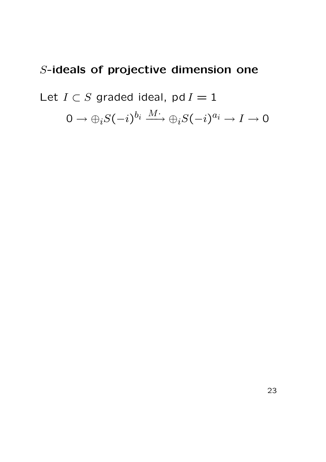Let  $I \subset S$  graded ideal, pd  $I = 1$ 

 $0 \to \oplus_i S(-i)^{b_i} \overset{M\cdot}{\longrightarrow} \oplus_i S(-i)^{a_i} \to I \to 0$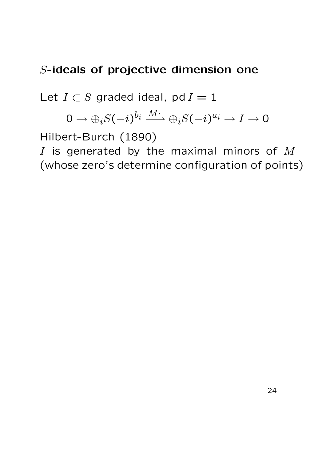Let  $I \subset S$  graded ideal, pd  $I = 1$ 

$$
0\rightarrow \oplus_i S(-i)^{b_i}\stackrel{M\cdot}{\longrightarrow} \oplus_i S(-i)^{a_i}\rightarrow I\rightarrow 0
$$

Hilbert-Burch (1890)

I is generated by the maximal minors of  $M$ (whose zero's determine configuration of points)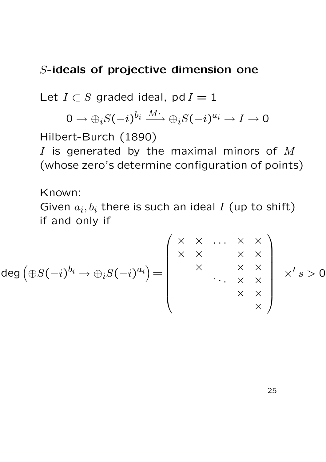Let  $I \subset S$  graded ideal, pd  $I = 1$ 

$$
0\rightarrow \oplus_i S(-i)^{b_i}\stackrel{M\cdot}{\longrightarrow} \oplus_i S(-i)^{a_i}\rightarrow I\rightarrow 0
$$

Hilbert-Burch (1890)

I is generated by the maximal minors of  $M$ (whose zero's determine configuration of points)

Known:

Given  $a_i, b_i$  there is such an ideal I (up to shift) if and only if

$$
\deg\left(\bigoplus S(-i)^{b_i}\to \bigoplus_i S(-i)^{a_i}\right)=\left(\begin{array}{ccc} \times & \times & \cdots & \times & \times \\ \times & \times & & \times & \times \\ & \times & & \times & \times \\ & & & \times & \times \\ & & & & \times \end{array}\right) \times 's>0
$$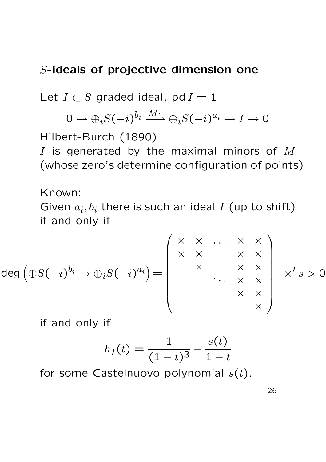Let  $I \subset S$  graded ideal, pd  $I = 1$ 

$$
0\rightarrow \oplus_i S(-i)^{b_i}\stackrel{M\cdot}{\longrightarrow} \oplus_i S(-i)^{a_i}\rightarrow I\rightarrow 0
$$

Hilbert-Burch (1890)

I is generated by the maximal minors of  $M$ (whose zero's determine configuration of points)

Known:

Given  $a_i, b_i$  there is such an ideal I (up to shift) if and only if

$$
\deg\left(\oplus S(-i)^{b_i}\to\oplus_iS(-i)^{a_i}\right)=\left(\begin{array}{cccc} \times & \times & \cdots & \times & \times \\ \times & \times & & \times & \times \\ & \times & & \times & \times \\ & & & \times & \times \\ & & & & \times \end{array}\right) \quad \times' \quad s > 0
$$

if and only if

$$
h_I(t) = \frac{1}{(1-t)^3} - \frac{s(t)}{1-t}
$$

for some Castelnuovo polynomial  $s(t)$ .

26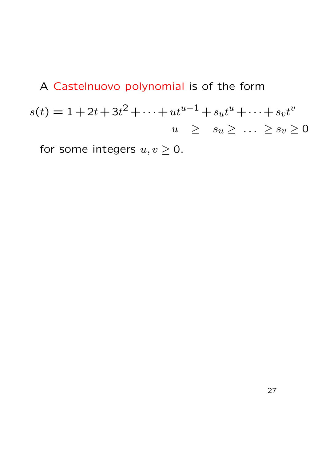A Castelnuovo polynomial is of the form  $s(t) = 1 + 2t + 3t^2 + \cdots + ut^{u-1} + s_u t^u + \cdots + s_v t^v$  $u \geq s_u \geq \ldots \geq s_v \geq 0$ 

for some integers  $u, v \ge 0$ .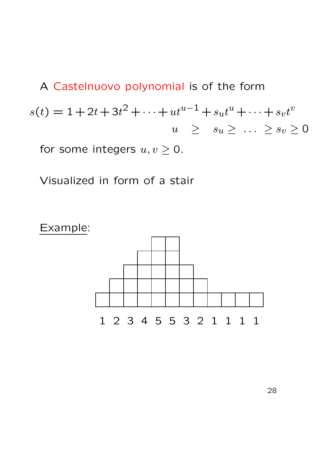A Castelnuovo polynomial is of the form  $s(t) = 1 + 2t + 3t^2 + \cdots + ut^{u-1} + s_u t^u + \cdots + s_v t^v$  $u \geq s_u \geq \ldots \geq s_v \geq 0$ for some integers  $u, v \geq 0$ .

Visualized in form of a stair

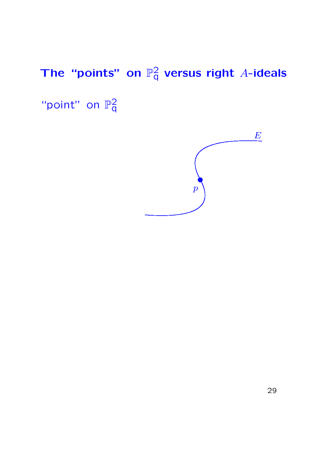"point" on  $\mathbb{P}^2_{q}$  $\bar{\mathsf{q}}$ 

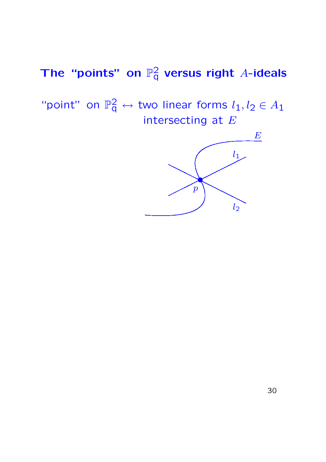"point" on  $\mathbb{P}^2_q \leftrightarrow$  two linear forms  $l_1, l_2 \in A_1$ intersecting at  $E$ 

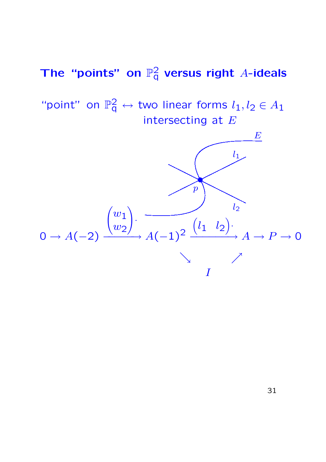"point" on  $\mathbb{P}^2_q \leftrightarrow$  two linear forms  $l_1, l_2 \in A_1$ intersecting at  $E$ 

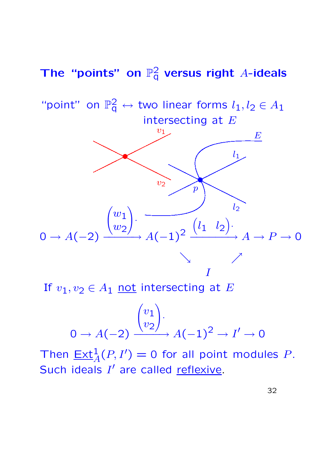"point" on  $\mathbb{P}^2_q \leftrightarrow$  two linear forms  $l_1, l_2 \in A_1$ intersecting at  $E$ 



If  $v_1, v_2 \in A_1$  not intersecting at E

$$
0 \to A(-2) \xrightarrow{\begin{pmatrix} v_1 \\ v_2 \end{pmatrix}} A(-1)^2 \to I' \to 0
$$

Then  $\underline{\text{Ext}}_{A}^{1}(P, I') = 0$  for all point modules P. Such ideals I' are called reflexive.

32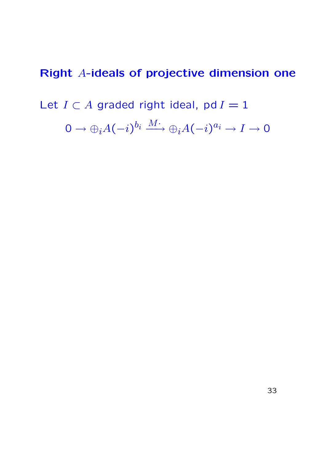Let  $I \subset A$  graded right ideal, pd  $I = 1$ 

 $0 \to \oplus_i A(-i)^{b_i} \overset{M\cdot}{\longrightarrow} \oplus_i A(-i)^{a_i} \to I \to 0$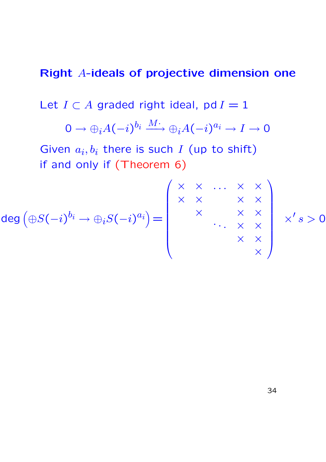Let  $I \subset A$  graded right ideal, pd  $I = 1$ 

$$
0 \to \oplus_i A(-i)^{b_i} \xrightarrow{M^*} \oplus_i A(-i)^{a_i} \to I \to 0
$$

Given  $a_i, b_i$  there is such I (up to shift) if and only if (Theorem 6)

$$
\deg\left(\oplus S(-i)^{b_i}\to\oplus_i S(-i)^{a_i}\right)=\left(\begin{array}{cccc} \times & \times & \ldots & \times & \times \\ \times & \times & & \times & \times \\ & \times & & \times & \times \\ & & & \times & \times \\ & & & & \times \end{array}\right) \times 's>0
$$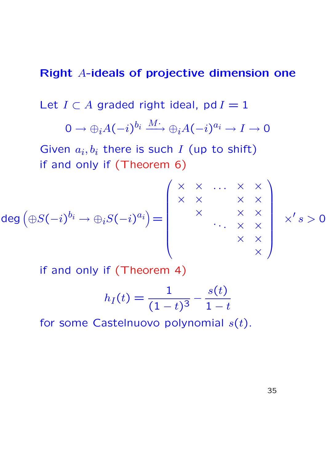Let  $I \subset A$  graded right ideal, pd  $I = 1$ 

$$
0 \to \oplus_i A(-i)^{b_i} \xrightarrow{M^*} \oplus_i A(-i)^{a_i} \to I \to 0
$$

Given  $a_i, b_i$  there is such I (up to shift) if and only if (Theorem 6)

$$
\deg\left(\bigoplus S(-i)^{b_i}\to\bigoplus_i S(-i)^{a_i}\right)=\left(\begin{array}{ccc} \times & \times & \cdots & \times & \times \\ \times & \times & & \times & \times \\ & & \times & \times & \times \\ & & & \times & \times \\ & & & & \times \end{array}\right)
$$

if and only if (Theorem 4)

$$
h_I(t) = \frac{1}{(1-t)^3} - \frac{s(t)}{1-t}
$$

for some Castelnuovo polynomial  $s(t)$ .

35

 $\bar{X}$ 

 $\times 's>0$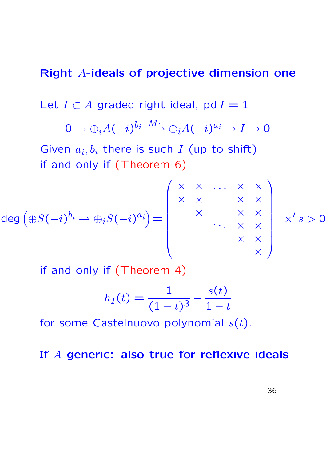Let  $I \subset A$  graded right ideal, pd  $I = 1$ 

$$
0 \to \oplus_i A(-i)^{b_i} \xrightarrow{M^*} \oplus_i A(-i)^{a_i} \to I \to 0
$$

Given  $a_i, b_i$  there is such I (up to shift) if and only if (Theorem 6)

$$
\deg\left(\bigoplus S(-i)^{b_i}\to\bigoplus_i S(-i)^{a_i}\right)=\left(\begin{array}{cccc} \times & \times & \ldots & \times & \times \\ \times & \times & & \times & \times \\ & & \times & & \times & \times \\ & & & & \times & \times \\ & & & & \times & \times \\ & & & & & \times \end{array}\right)
$$

if and only if (Theorem 4)

$$
h_I(t) = \frac{1}{(1-t)^3} - \frac{s(t)}{1-t}
$$

for some Castelnuovo polynomial  $s(t)$ .

#### If A generic: also true for reflexive ideals

 $\Delta$ 

 $\times 's > 0$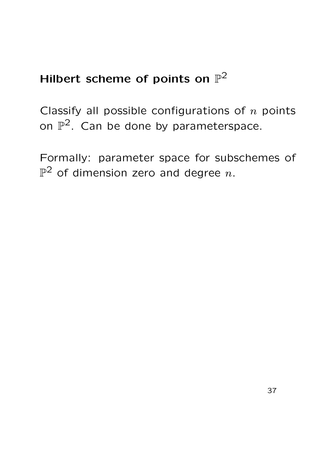# Hilbert scheme of points on  $\mathbb{P}^2$

Classify all possible configurations of  $n$  points on  $\mathbb{P}^2$ . Can be done by parameterspace.

Formally: parameter space for subschemes of  $\mathbb{P}^2$  of dimension zero and degree  $n.$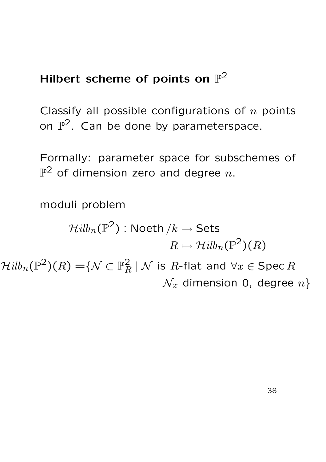# Hilbert scheme of points on  $\mathbb{P}^2$

Classify all possible configurations of  $n$  points on  $\mathbb{P}^2$ . Can be done by parameterspace.

Formally: parameter space for subschemes of  $\mathbb{P}^2$  of dimension zero and degree  $n.$ 

moduli problem

$$
\mathcal{H}ilb_n(\mathbb{P}^2): \text{Noeth } /k \to \textsf{Sets}
$$

$$
R \mapsto \mathcal{H}ilb_n(\mathbb{P}^2)(R)
$$

 $\mathcal{H}ilb_{n}(\mathbb{P}^{2})(R)=$   $\{\mathcal{N}\subset \mathbb{P}^{2}_{R}\ |\ \mathcal{N}\ \text{is}\ R\text{-flat and}\ \forall x\in \operatorname{\mathsf{Spec}} R$  $\mathcal{N}_x$  dimension 0, degree  $n$ }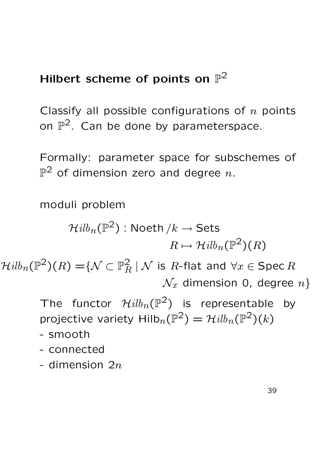# Hilbert scheme of points on  $\mathbb{P}^2$

Classify all possible configurations of  $n$  points on  $\mathbb{P}^2$ . Can be done by parameterspace.

Formally: parameter space for subschemes of  $\mathbb{P}^2$  of dimension zero and degree  $n.$ 

moduli problem

$$
\mathcal{H}ilb_n(\mathbb{P}^2): \text{Noeth } /k \to \text{Sets}
$$

$$
R \mapsto \mathcal{H}ilb_n(\mathbb{P}^2)(R)
$$

 $\mathcal{H}ilb_{n}(\mathbb{P}^{2})(R)=$   $\{\mathcal{N}\subset \mathbb{P}^{2}_{R}\ |\ \mathcal{N}\ \text{is}\ R\text{-flat and}\ \forall x\in \operatorname{\mathsf{Spec}} R$  $\mathcal{N}_x$  dimension 0, degree  $n$ }

> The functor  $\mathcal{H}ilb_{n}(\mathbb{P}^{2})$  is representable by projective variety  $\mathsf{Hilb}_n(\mathbb{P}^2) = \mathcal{H}ilb_n(\mathbb{P}^2)(k)$

- smooth
- connected
- dimension  $2n$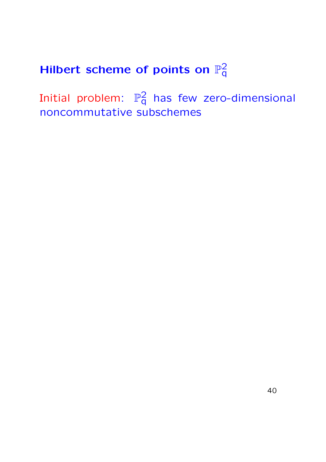Initial problem:  $\mathbb{P}^2_q$  has few zero-dimensional noncommutative subschemes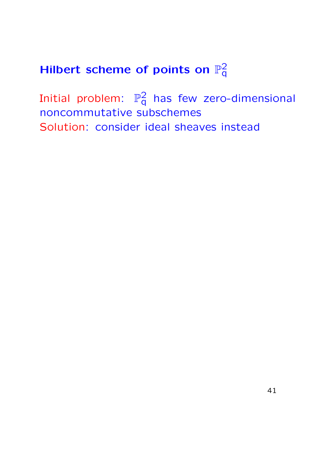Initial problem:  $\mathbb{P}^2_q$  has few zero-dimensional noncommutative subschemes Solution: consider ideal sheaves instead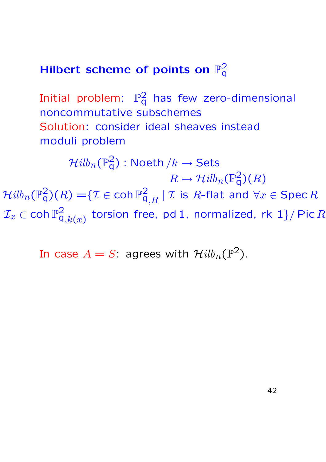Initial problem:  $\mathbb{P}^2_q$  has few zero-dimensional noncommutative subschemes Solution: consider ideal sheaves instead moduli problem

 $\mathcal{H}ilb_{n}(\mathbb{P}^{2}_{\mathrm{q}})$  : Noeth  $/k \rightarrow \mathsf{Sets}$  $R \mapsto \mathcal{H}ilb_n(\mathbb{P}^2_{\mathsf{q}})(R)$  $\mathcal{H}ilb_{n}(\mathbb{P}_{\mathsf{q}}^{2})(R)=$   $\{{\mathcal{I}} \in \mathsf{coh}\,\mathbb{P}_{\mathsf{q},R}^{2}~|~{\mathcal{I}} \text{ is } R\text{-flat and }\forall x \in \mathsf{Spec}\, R\}$  $\mathcal{I}_x \in \mathsf{coh}\,\mathbb{P}^2_\mathsf{q}$  $\mathsf{q}_{,k(x)}^2$  torsion free, pd 1, normalized, rk 1}/ Pic  $R$ 

In case  $A=S^{\cdot}$  agrees with  $\mathcal{H}ilb_{n}(\mathbb{P}^{2}).$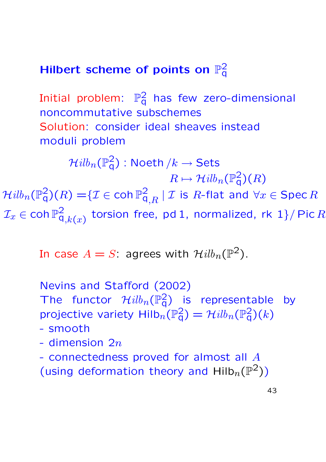Initial problem:  $\mathbb{P}^2_q$  has few zero-dimensional noncommutative subschemes Solution: consider ideal sheaves instead moduli problem

 $\mathcal{H}ilb_{n}(\mathbb{P}^{2}_{\mathrm{q}})$  : Noeth  $/k \rightarrow \mathsf{Sets}$  $R \mapsto \mathcal{H}ilb_n(\mathbb{P}^2_{\mathsf{q}})(R)$  $\mathcal{H}ilb_{n}(\mathbb{P}_{\mathsf{q}}^{2})(R)=$   $\{{\mathcal{I}} \in \mathsf{coh}\,\mathbb{P}_{\mathsf{q},R}^{2}~|~{\mathcal{I}} \text{ is } R\text{-flat and }\forall x \in \mathsf{Spec}\, R\}$  $\mathcal{I}_x \in \mathsf{coh}\,\mathbb{P}^2_\mathsf{q}$  $\mathsf{q}_{,k(x)}^2$  torsion free, pd 1, normalized, rk 1}/ Pic  $R$ 

In case  $A=S$ : agrees with  $\mathcal{H}ilb_{n}(\mathbb{P}^{2}).$ 

Nevins and Stafford (2002)

The functor  $\mathcal{H}ilb_n(\mathbb{P}^2_q)$  is representable by projective variety  $\text{Hilb}_n(\mathbb{P}^2_q) = \mathcal{H}ilb_n(\mathbb{P}^2_q)(k)$ 

- smooth
- dimension  $2n$
- connectedness proved for almost all A
- (using deformation theory and  $\text{Hilb}_n(\mathbb{P}^2)$ )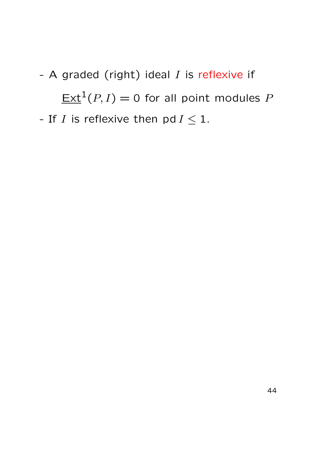- A graded (right) ideal  $I$  is reflexive if  $\underline{\text{Ext}}^1(P,I) = 0$  for all point modules  $P$ - If I is reflexive then pd  $I \leq 1$ .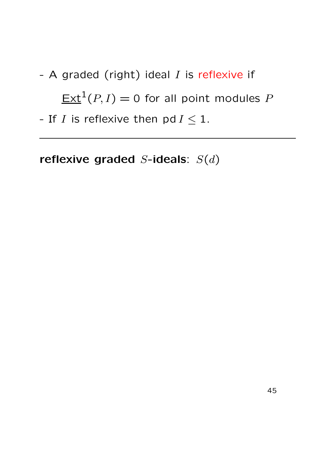- A graded (right) ideal  $I$  is reflexive if  $\underline{\text{Ext}}^1(P,I) = 0$  for all point modules  $P$ 

- If I is reflexive then  $pd I \leq 1$ .

reflexive graded  $S$ -ideals:  $S(d)$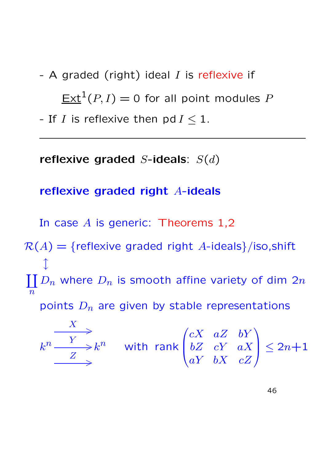- A graded (right) ideal  $I$  is reflexive if  $\underline{\text{Ext}}^1(P,I) = 0$  for all point modules  $P$ 

- If I is reflexive then pd  $I \leq 1$ .

reflexive graded  $S$ -ideals:  $S(d)$ 

reflexive graded right A-ideals

In case  $A$  is generic: Theorems 1,2

 $R(A) = {reflexive graded right A-ideals}/iso, shift$  $\int$  $\coprod D_n$  where  $D_n$  is smooth affine variety of dim  $2n$  $\overline{n}$ 

points  $D_n$  are given by stable representations

$$
k^{n} \xrightarrow{Y} k^{n} \quad \text{with rank} \begin{pmatrix} cX & aZ & bY \\ bZ & cY & aX \\ aY & bX & cZ \end{pmatrix} \le 2n+1
$$

46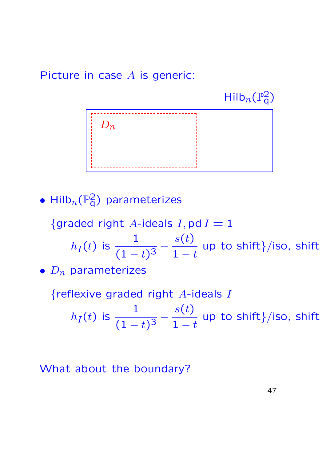Picture in case A is generic:

 $\mathsf{Hilb}_n(\mathbb{P}^2_q)$ 



• Hilb $_n(\mathbb{P}^2_q)$  parameterizes

{graded right A-ideals  $I$ , pd  $I = 1$ 

 $h_I(t)$  is  $\frac{1}{\sqrt{1}}$  $\frac{1}{(1-t)^3}$  –  $s(t)$  $1 - t$ up to shift}/iso, shift

•  $D_n$  parameterizes

{reflexive graded right  $A$ -ideals  $I$ 

$$
h_I(t)
$$
 is  $\frac{1}{(1-t)^3} - \frac{s(t)}{1-t}$  up to shift}/iso, shift

What about the boundary?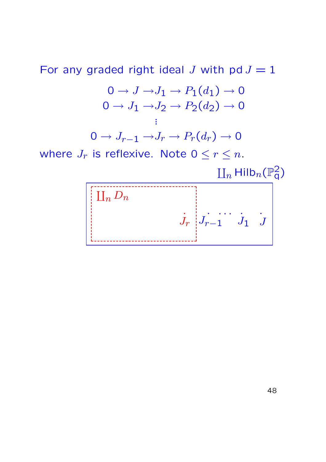For any graded right ideal J with pd  $J = 1$ 

$$
0 \to J \to J_1 \to P_1(d_1) \to 0
$$
  

$$
0 \to J_1 \to J_2 \to P_2(d_2) \to 0
$$
  

$$
\vdots
$$
  

$$
0 \to J_{r-1} \to J_r \to P_r(d_r) \to 0
$$

where  $J_r$  is reflexive. Note  $0 \leq r \leq n$ .

 $\mathop{\hbox{\rm L}}\nolimits_n$  Hilb $_n(\mathbb{P}^2_{\sf q})$ 

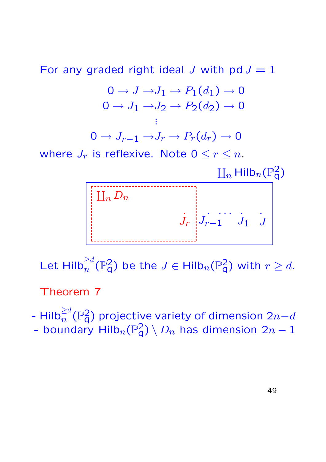For any graded right ideal J with pd  $J = 1$ 

$$
0 \to J \to J_1 \to P_1(d_1) \to 0
$$
  

$$
0 \to J_1 \to J_2 \to P_2(d_2) \to 0
$$
  

$$
\vdots
$$

$$
0 \to J_{r-1} \to J_r \to P_r(d_r) \to 0
$$

where  $J_r$  is reflexive. Note  $0 \leq r \leq n$ .

 $\mathop{\hbox{\rm L}}\nolimits_n$  Hilb $_n(\mathbb{P}^2_{\sf q})$ 



Let  $\text{Hilb}_n^{\ge d}(\mathbb{P}^2_q)$  be the  $J\in \text{Hilb}_n(\mathbb{P}^2_q)$  with  $r\ge d.$ 

Theorem 7

- Hilb $_n^{\ge d}(\mathbb{P}^2_{\mathsf{q}})$  projective variety of dimension 2 $n{-}d$ - boundary  $\mathsf{Hilb}_n(\mathbb{P}^2_{\mathsf{q}}) \setminus D_n$  has dimension  $2n-1$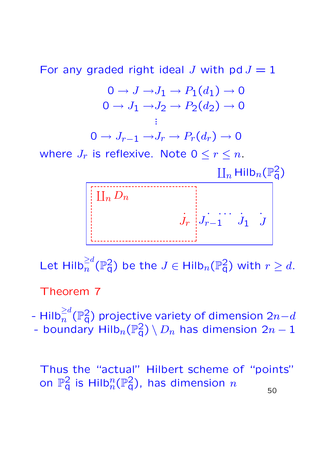For any graded right ideal J with pd  $J = 1$ 

$$
0 \to J \to J_1 \to P_1(d_1) \to 0
$$
  
\n
$$
0 \to J_1 \to J_2 \to P_2(d_2) \to 0
$$
  
\n
$$
\vdots
$$
  
\n
$$
0 \to J_{r-1} \to J_r \to P_r(d_r) \to 0
$$

where  $J_r$  is reflexive. Note  $0 \leq r \leq n$ .

 $\mathop{\hbox{\rm L}}\nolimits_n$  Hilb $_n(\mathbb{P}^2_{\sf q})$ 



Let  $\text{Hilb}_n^{\ge d}(\mathbb{P}^2_q)$  be the  $J\in \text{Hilb}_n(\mathbb{P}^2_q)$  with  $r\ge d.$ 

Theorem 7

- Hilb $_n^{\ge d}(\mathbb{P}^2_{\mathsf{q}})$  projective variety of dimension 2 $n{-}d$ - boundary Hilb $_n(\mathbb{P}^2_{\mathsf{q}})\setminus D_n$  has dimension  $2n-1$ 

Thus the "actual" Hilbert scheme of "points" on  $\mathbb{P}^2_\mathsf{q}$  is Hilb $^n_n(\mathbb{P}^2_\mathsf{q})$ , has dimension  $n$ 

50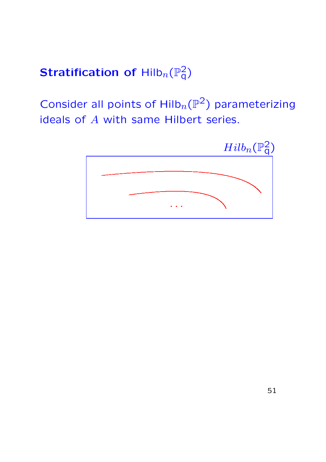# Stratification of  $\mathsf{Hilb}_n(\mathbb{P}^2_q)$

Consider all points of  $Hilb_n(\mathbb{P}^2)$  parameterizing ideals of A with same Hilbert series.

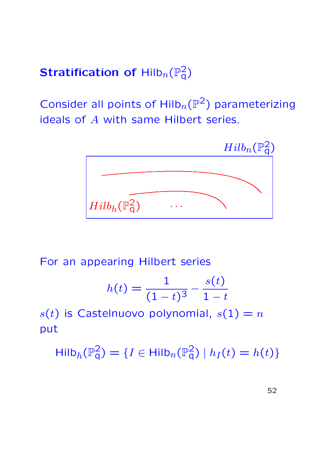# Stratification of  $\mathsf{Hilb}_n(\mathbb{P}^2_q)$

Consider all points of  $Hilb_n(\mathbb{P}^2)$  parameterizing ideals of A with same Hilbert series.



For an appearing Hilbert series

$$
h(t) = \frac{1}{(1-t)^3} - \frac{s(t)}{1-t}
$$

 $s(t)$  is Castelnuovo polynomial,  $s(1) = n$ put

 $\mathsf{Hilb}_h(\mathbb{P}^2_q) = \{I \in \mathsf{Hilb}_n(\mathbb{P}^2_q) \mid h_I(t) = h(t)\}$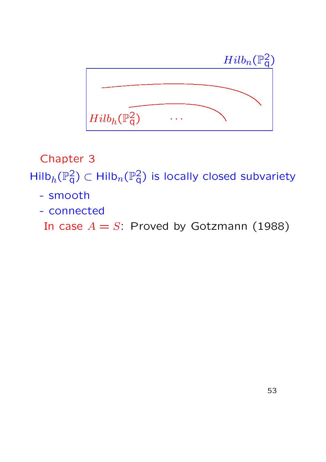

Chapter 3

 $\mathsf{Hilb}_h(\mathbb{P}^2_{\mathsf{q}}) \subset \mathsf{Hilb}_n(\mathbb{P}^2_{\mathsf{q}})$  is locally closed subvariety

- smooth
- connected

In case  $A = S$ : Proved by Gotzmann (1988)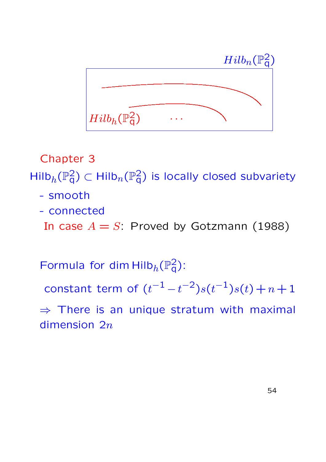

Chapter 3

 $\mathsf{Hilb}_h(\mathbb{P}^2_{\mathsf{q}}) \subset \mathsf{Hilb}_n(\mathbb{P}^2_{\mathsf{q}})$  is locally closed subvariety

- smooth
- connected

In case  $A = S$ : Proved by Gotzmann (1988)

Formula for dim  $\text{Hilb}_h(\mathbb{P}^2_q)$ :

constant term of  $(t^{-1} - t^{-2})s(t^{-1})s(t) + n + 1$ 

 $\Rightarrow$  There is an unique stratum with maximal dimension  $2n$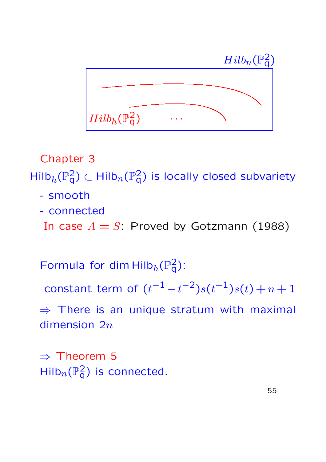

Chapter 3

 $\mathsf{Hilb}_h(\mathbb{P}^2_{\mathsf{q}}) \subset \mathsf{Hilb}_n(\mathbb{P}^2_{\mathsf{q}})$  is locally closed subvariety

- smooth
- connected

In case  $A = S$ : Proved by Gotzmann (1988)

Formula for dim  $\text{Hilb}_h(\mathbb{P}^2_q)$ :

constant term of  $(t^{-1} - t^{-2})s(t^{-1})s(t) + n + 1$ 

 $\Rightarrow$  There is an unique stratum with maximal dimension  $2n$ 

⇒ Theorem 5  $\mathsf{Hilb}_n(\mathbb{P}^2_q)$  is connected.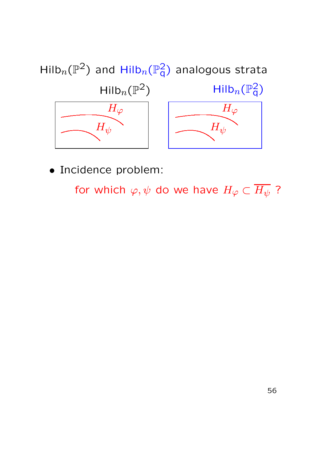

for which  $\varphi, \psi$  do we have  $H_{\varphi} \subset \overline{H_{\psi}}$ ?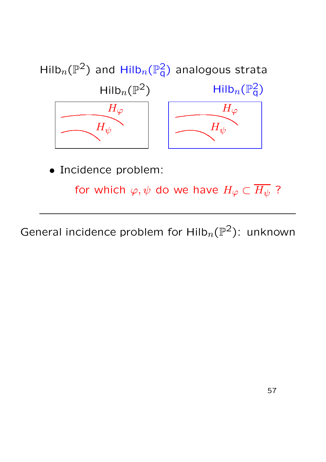

for which  $\varphi, \psi$  do we have  $H_{\varphi} \subset \overline{H_{\psi}}$  ?

General incidence problem for  $\text{Hilb}_n(\mathbb{P}^2)$ : unknown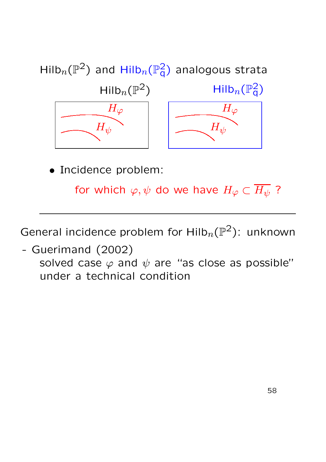

for which  $\varphi, \psi$  do we have  $H_{\varphi} \subset \overline{H_{\psi}}$  ?

General incidence problem for  $\text{Hilb}_n(\mathbb{P}^2)$ : unknown

- Guerimand (2002)

solved case  $\varphi$  and  $\psi$  are "as close as possible" under a technical condition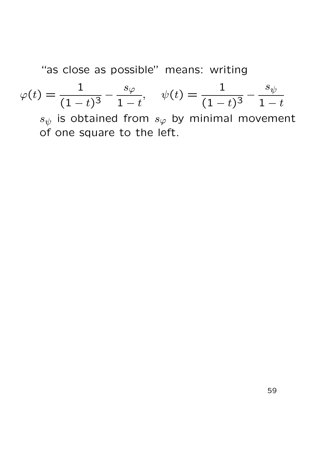"as close as possible" means: writing

$$
\varphi(t) = \frac{1}{(1-t)^3} - \frac{s_{\varphi}}{1-t}, \quad \psi(t) = \frac{1}{(1-t)^3} - \frac{s_{\psi}}{1-t}
$$

 $s_{\psi}$  is obtained from  $s_{\varphi}$  by minimal movement of one square to the left.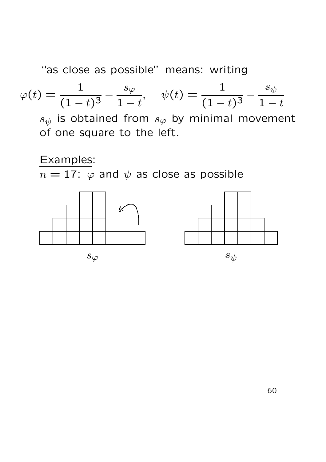"as close as possible" means: writing

$$
\varphi(t) = \frac{1}{(1-t)^3} - \frac{s_{\varphi}}{1-t}, \quad \psi(t) = \frac{1}{(1-t)^3} - \frac{s_{\psi}}{1-t}
$$

 $s_{\psi}$  is obtained from  $s_{\varphi}$  by minimal movement of one square to the left.

#### Examples:

 $n = 17$ :  $\varphi$  and  $\psi$  as close as possible

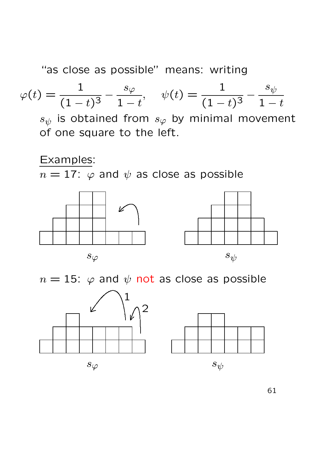"as close as possible" means: writing

$$
\varphi(t) = \frac{1}{(1-t)^3} - \frac{s_{\varphi}}{1-t}, \quad \psi(t) = \frac{1}{(1-t)^3} - \frac{s_{\psi}}{1-t}
$$

 $s_{\psi}$  is obtained from  $s_{\varphi}$  by minimal movement of one square to the left.

#### Examples:

 $n = 17$ :  $\varphi$  and  $\psi$  as close as possible







 $n = 15$ :  $\varphi$  and  $\psi$  not as close as possible



61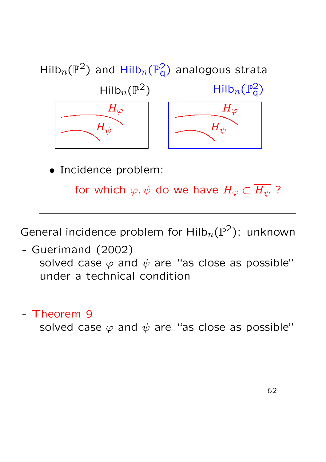

for which  $\varphi, \psi$  do we have  $H_{\varphi} \subset \overline{H_{\psi}}$ ?

General incidence problem for  $\text{Hilb}_n(\mathbb{P}^2)$ : unknown

- Guerimand (2002) solved case  $\varphi$  and  $\psi$  are "as close as possible" under a technical condition

- Theorem 9

solved case  $\varphi$  and  $\psi$  are "as close as possible"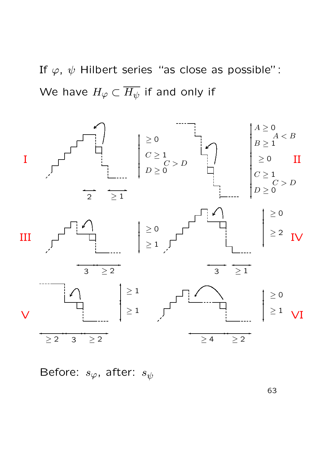If  $\varphi$ ,  $\psi$  Hilbert series "as close as possible": We have  $H_{\varphi} \subset \overline{H_{\psi}}$  if and only if



Before:  $s_{\varphi}$ , after:  $s_{\psi}$ 

63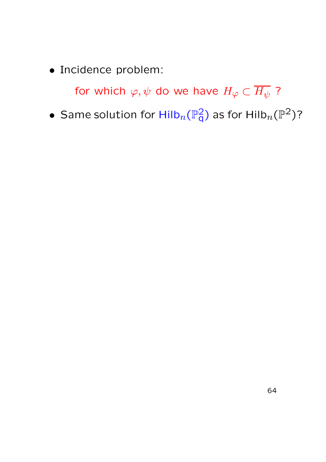for which  $\varphi, \psi$  do we have  $H_{\varphi} \subset \overline{H_{\psi}}$  ?

 $\bullet\,$  Same solution for  $\mathsf{Hilb}_n(\mathbb{P}^2_\mathsf{q})$  as for  $\mathsf{Hilb}_n(\mathbb{P}^2)$ ?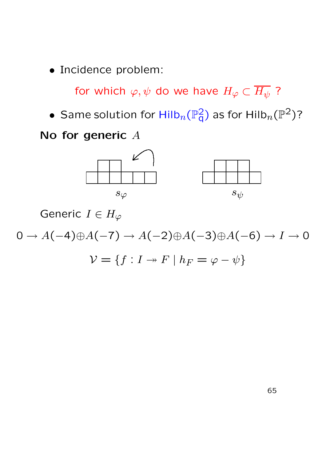for which  $\varphi, \psi$  do we have  $H_{\varphi} \subset \overline{H_{\psi}}$ ?

 $\bullet\,$  Same solution for  $\mathsf{Hilb}_n(\mathbb{P}^2_\mathsf{q})$  as for  $\mathsf{Hilb}_n(\mathbb{P}^2)$ ?

#### No for generic A



Generic  $I \in H_{\varphi}$ 

$$
0 \to A(-4) \oplus A(-7) \to A(-2) \oplus A(-3) \oplus A(-6) \to I \to 0
$$

 $\mathcal{V} = \{f: I \rightarrow F \mid h_F = \varphi - \psi\}$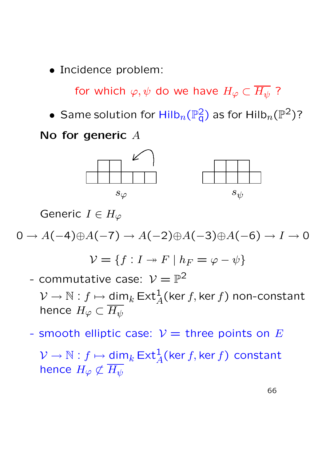for which  $\varphi, \psi$  do we have  $H_{\varphi} \subset \overline{H_{\psi}}$ ?

 $\bullet\,$  Same solution for  $\mathsf{Hilb}_n(\mathbb{P}^2_\mathsf{q})$  as for  $\mathsf{Hilb}_n(\mathbb{P}^2)$ ?

#### No for generic A



Generic  $I \in H_{\varphi}$ 

$$
0 \to A(-4) \oplus A(-7) \to A(-2) \oplus A(-3) \oplus A(-6) \to I \to 0
$$

$$
\mathcal{V} = \{f: I \to F \mid h_F = \varphi - \psi\}
$$

- commutative case:  $\mathcal{V} = \mathbb{P}^2$ 
	- $\mathcal{V}\rightarrow\mathbb{N}: f\mapsto \underline{\mathsf{dim}}_k\,\mathsf{Ext}^1_A(\mathsf{ker}\,f,\mathsf{ker}\,f)$  non-constant hence  $H_{\varphi}\subset\overline{H_{\psi}}$
- smooth elliptic case:  $V =$  three points on E

 $\mathcal{V}\rightarrow\mathbb{N}: f\mapsto \underline{\mathsf{dim}}_k\,\mathsf{Ext}^1_A(\mathsf{ker}\,f,\mathsf{ker}\,f)$  constant hence  $H_{\varphi} \not\subset \overline{H_{\psi}}$